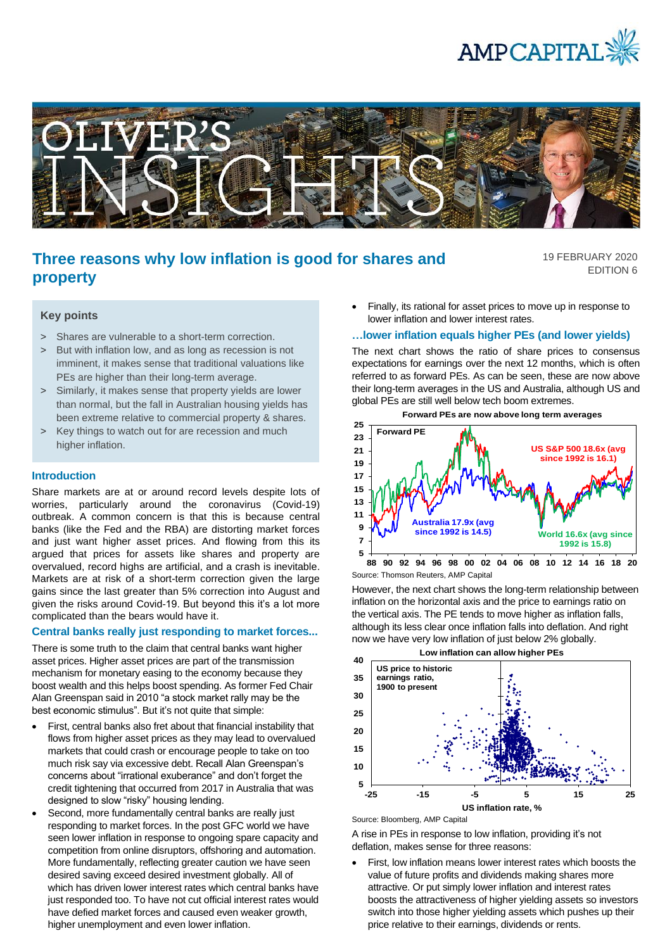



# **Three reasons why low inflation is good for shares and property**

19 FEBRUARY 2020 EDITION 6

# **Key points**

- > Shares are vulnerable to a short-term correction.
- > But with inflation low, and as long as recession is not imminent, it makes sense that traditional valuations like PEs are higher than their long-term average.
- > Similarly, it makes sense that property yields are lower than normal, but the fall in Australian housing yields has been extreme relative to commercial property & shares.
- > Key things to watch out for are recession and much higher inflation.

# **Introduction**

Share markets are at or around record levels despite lots of worries, particularly around the coronavirus (Covid-19) outbreak. A common concern is that this is because central banks (like the Fed and the RBA) are distorting market forces and just want higher asset prices. And flowing from this its argued that prices for assets like shares and property are overvalued, record highs are artificial, and a crash is inevitable. Markets are at risk of a short-term correction given the large gains since the last greater than 5% correction into August and given the risks around Covid-19. But beyond this it's a lot more complicated than the bears would have it.

## **Central banks really just responding to market forces...**

There is some truth to the claim that central banks want higher asset prices. Higher asset prices are part of the transmission mechanism for monetary easing to the economy because they boost wealth and this helps boost spending. As former Fed Chair Alan Greenspan said in 2010 "a stock market rally may be the best economic stimulus". But it's not quite that simple:

- First, central banks also fret about that financial instability that flows from higher asset prices as they may lead to overvalued markets that could crash or encourage people to take on too much risk say via excessive debt. Recall Alan Greenspan's concerns about "irrational exuberance" and don't forget the credit tightening that occurred from 2017 in Australia that was designed to slow "risky" housing lending.
- Second, more fundamentally central banks are really just responding to market forces. In the post GFC world we have seen lower inflation in response to ongoing spare capacity and competition from online disruptors, offshoring and automation. More fundamentally, reflecting greater caution we have seen desired saving exceed desired investment globally. All of which has driven lower interest rates which central banks have just responded too. To have not cut official interest rates would have defied market forces and caused even weaker growth, higher unemployment and even lower inflation.

• Finally, its rational for asset prices to move up in response to lower inflation and lower interest rates.

## **…lower inflation equals higher PEs (and lower yields)**

The next chart shows the ratio of share prices to consensus expectations for earnings over the next 12 months, which is often referred to as forward PEs. As can be seen, these are now above their long-term averages in the US and Australia, although US and global PEs are still well below tech boom extremes.

**Forward PEs are now above long term averages**



Source: Thomson Reuters, AMP Capital

However, the next chart shows the long-term relationship between inflation on the horizontal axis and the price to earnings ratio on the vertical axis. The PE tends to move higher as inflation falls, although its less clear once inflation falls into deflation. And right now we have very low inflation of just below 2% globally.



Source: Bloomberg, AMP Capital

A rise in PEs in response to low inflation, providing it's not deflation, makes sense for three reasons:

• First, low inflation means lower interest rates which boosts the value of future profits and dividends making shares more attractive. Or put simply lower inflation and interest rates boosts the attractiveness of higher yielding assets so investors switch into those higher yielding assets which pushes up their price relative to their earnings, dividends or rents.